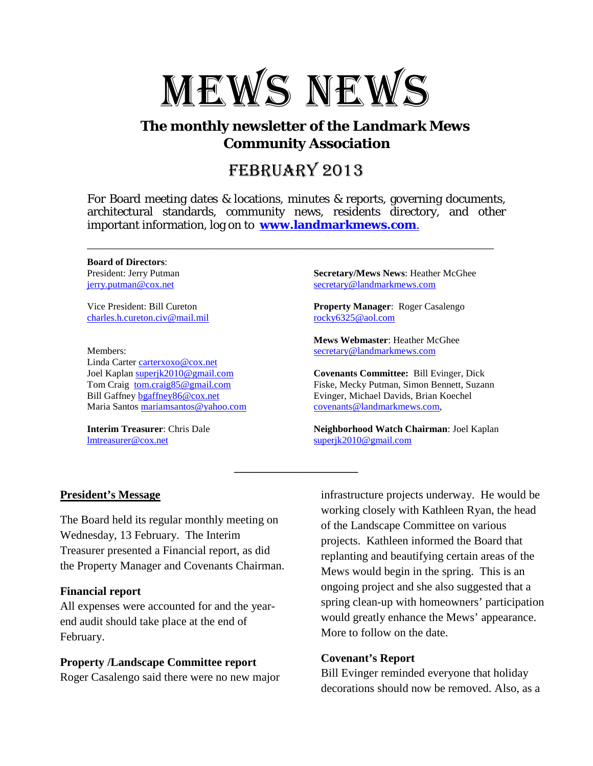

# **The monthly newsletter of the Landmark Mews Community Association**

# FEBRUARY 2013

For Board meeting dates & locations, minutes & reports, governing documents, architectural standards, community news, residents directory, and other important information, log on to **www.landmarkmews.com**.

\_\_\_\_\_\_\_\_\_\_\_\_\_\_\_\_\_\_\_\_\_\_\_\_\_\_\_\_\_\_\_\_\_\_\_\_\_\_\_\_\_\_\_\_\_\_\_\_\_\_\_\_\_\_\_\_\_\_\_\_\_\_\_\_\_\_\_\_\_\_

\_\_\_\_\_\_\_\_\_\_\_\_\_\_\_\_

**Board of Directors**: President: Jerry Putman [jerry.putman@cox.net](mailto:jerry.putman@cox.net)

Vice President: Bill Cureton [charles.h.cureton.civ@mail.mil](mailto:charles.h.cureton.civ@mail.mil)

Members: Linda Carter [carterxoxo@cox.net](mailto:carterxoxo@cox.net) Joel Kaplan [superjk2010@gmail.com](mailto:superjk2010@gmail.com) Tom Craig [tom.craig85@gmail.com](mailto:tom.craig85@gmail.com) Bill Gaffney [bgaffney86@cox.net](mailto:bgaffney86@cox.net) Maria Santos [mariamsantos@yahoo.com](mailto:mariamsantos@yahoo.com)

**Interim Treasurer**: Chris Dale [lmtreasurer@cox.net](mailto:lmtreasurer@cox.net)

**Secretary/Mews News**: Heather McGhee [secretary@landmarkmews.com](mailto:secretary@landmarkmews.com)

**Property Manager**: Roger Casalengo [rocky6325@aol.com](mailto:rocky6325@aol.com)

**Mews Webmaster**: Heather McGhee [secretary@landmarkmews.com](mailto:secretary@landmarkmews.com)

**Covenants Committee:** Bill Evinger, Dick Fiske, Mecky Putman, Simon Bennett, Suzann Evinger, Michael Davids, Brian Koechel covenants@landmarkmews.com,

**Neighborhood Watch Chairman**: Joel Kaplan [superjk2010@gmail.com](mailto:superjk2010@gmail.com)

## **President's Message**

The Board held its regular monthly meeting on Wednesday, 13 February. The Interim Treasurer presented a Financial report, as did the Property Manager and Covenants Chairman.

#### **Financial report**

All expenses were accounted for and the yearend audit should take place at the end of February.

# **Property /Landscape Committee report**

Roger Casalengo said there were no new major

infrastructure projects underway. He would be working closely with Kathleen Ryan, the head of the Landscape Committee on various projects. Kathleen informed the Board that replanting and beautifying certain areas of the Mews would begin in the spring. This is an ongoing project and she also suggested that a spring clean-up with homeowners' participation would greatly enhance the Mews' appearance. More to follow on the date.

## **Covenant's Report**

Bill Evinger reminded everyone that holiday decorations should now be removed. Also, as a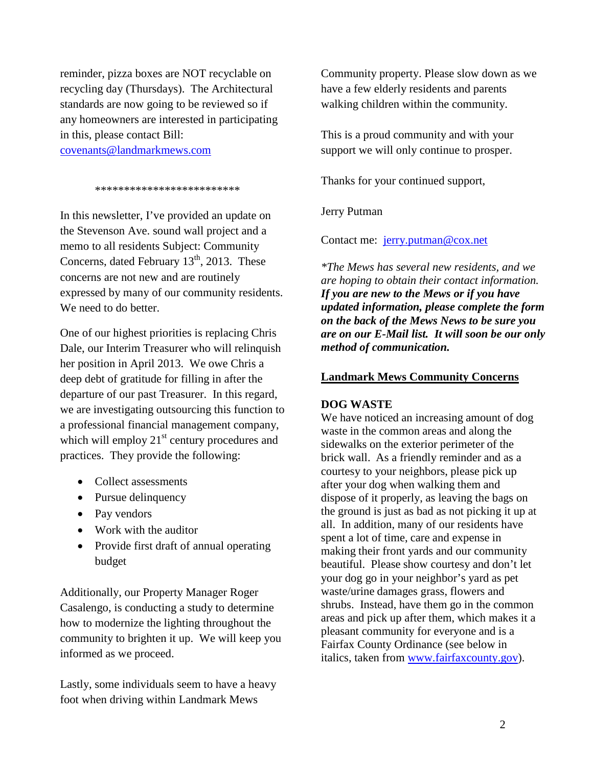reminder, pizza boxes are NOT recyclable on recycling day (Thursdays). The Architectural standards are now going to be reviewed so if any homeowners are interested in participating in this, please contact Bill:

[covenants@landmarkmews.com](mailto:covenants@landmarkmews.com)

\*\*\*\*\*\*\*\*\*\*\*\*\*\*\*\*\*\*\*\*\*\*\*\*\*

In this newsletter, I've provided an update on the Stevenson Ave. sound wall project and a memo to all residents Subject: Community Concerns, dated February  $13<sup>th</sup>$ , 2013. These concerns are not new and are routinely expressed by many of our community residents. We need to do better.

One of our highest priorities is replacing Chris Dale, our Interim Treasurer who will relinquish her position in April 2013. We owe Chris a deep debt of gratitude for filling in after the departure of our past Treasurer. In this regard, we are investigating outsourcing this function to a professional financial management company, which will employ  $21<sup>st</sup>$  century procedures and practices. They provide the following:

- Collect assessments
- Pursue delinquency
- Pay vendors
- Work with the auditor
- Provide first draft of annual operating budget

Additionally, our Property Manager Roger Casalengo, is conducting a study to determine how to modernize the lighting throughout the community to brighten it up. We will keep you informed as we proceed.

Lastly, some individuals seem to have a heavy foot when driving within Landmark Mews

Community property. Please slow down as we have a few elderly residents and parents walking children within the community.

This is a proud community and with your support we will only continue to prosper.

Thanks for your continued support,

Jerry Putman

Contact me: [jerry.putman@cox.net](mailto:jerry.putman@cox.net)

*\*The Mews has several new residents, and we are hoping to obtain their contact information. If you are new to the Mews or if you have updated information, please complete the form on the back of the Mews News to be sure you are on our E-Mail list. It will soon be our only method of communication.*

## **Landmark Mews Community Concerns**

## **DOG WASTE**

We have noticed an increasing amount of dog waste in the common areas and along the sidewalks on the exterior perimeter of the brick wall. As a friendly reminder and as a courtesy to your neighbors, please pick up after your dog when walking them and dispose of it properly, as leaving the bags on the ground is just as bad as not picking it up at all. In addition, many of our residents have spent a lot of time, care and expense in making their front yards and our community beautiful. Please show courtesy and don't let your dog go in your neighbor's yard as pet waste/urine damages grass, flowers and shrubs. Instead, have them go in the common areas and pick up after them, which makes it a pleasant community for everyone and is a Fairfax County Ordinance (see below in italics, taken from www.fairfaxcounty.gov).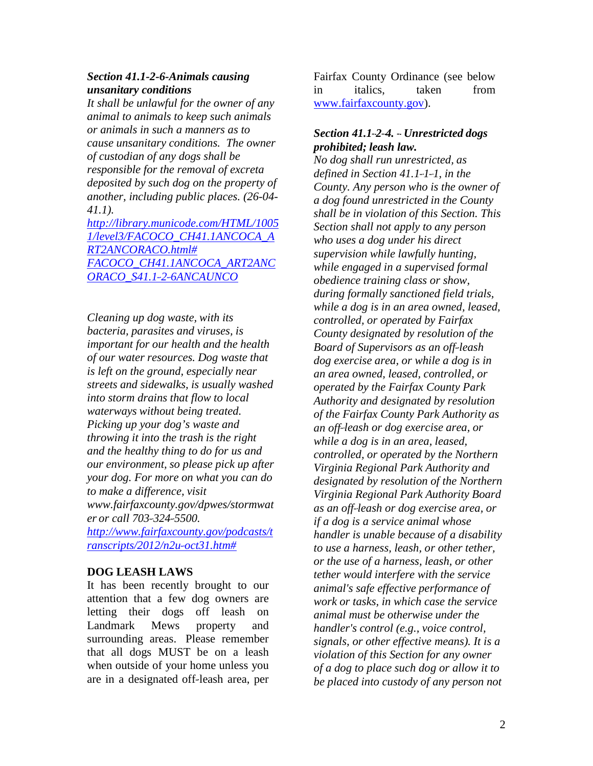## *Section 41.1-2-6-Animals causing unsanitary conditions*

*It shall be unlawful for the owner of any animal to animals to keep such animals or animals in such a manners as to cause unsanitary conditions. The owner of custodian of any dogs shall be responsible for the removal of excreta deposited by such dog on the property of another, including public places. (26-04- 41.1).*

*[http://library.municode.com/HTML/1005](http://library.municode.com/HTML/10051/level3/FACOCO_CH41.1ANCOCA_ART2ANCORACO.html) [1/level3/FACOCO\\_CH41.1ANCOCA\\_A](http://library.municode.com/HTML/10051/level3/FACOCO_CH41.1ANCOCA_ART2ANCORACO.html) [RT2ANCORACO.html#](http://library.municode.com/HTML/10051/level3/FACOCO_CH41.1ANCOCA_ART2ANCORACO.html) FACOCO\_CH41.1ANCOCA\_ART2ANC ORACO\_S41.1--*‐*2--*‐*6ANCAUNCO*

*Cleaning up dog waste, with its bacteria, parasites and viruses, is important for our health and the health of our water resources. Dog waste that is left on the ground, especially near streets and sidewalks, is usually washed into storm drains that flow to local waterways without being treated. Picking up your dog's waste and throwing it into the trash is the right and the healthy thing to do for us and our environment, so please pick up after your dog. For more on what you can do to make a difference, visit [www.fairfaxcounty.gov/dpwes/stormwat](http://www.fairfaxcounty.gov/dpwes/stormwater) [er](http://www.fairfaxcounty.gov/dpwes/stormwater) or call 703--*‐*324--*‐*5500.* 

*[http://www.fairfaxcounty.gov/podcasts/t](http://www.fairfaxcounty.gov/podcasts/transcripts/2012/n2u-) [ranscripts/2012/n2u--](http://www.fairfaxcounty.gov/podcasts/transcripts/2012/n2u-)*‐*oct31.htm#*

# **DOG LEASH LAWS**

It has been recently brought to our attention that a few dog owners are letting their dogs off leash on Landmark Mews property and surrounding areas. Please remember that all dogs MUST be on a leash when outside of your home unless you are in a designated off-leash area, per

Fairfax County Ordinance (see below in italics, taken from www.fairfaxcounty.gov).

## *Section 41.1--*‐*2--*‐*4. --*‐ *Unrestricted dogs prohibited; leash law.*

*No dog shall run unrestricted, as defined in Section 41.1--*‐*1--*‐*1, in the County. Any person who is the owner of a dog found unrestricted in the County shall be in violation of this Section. This Section shall not apply to any person who uses a dog under his direct supervision while lawfully hunting, while engaged in a supervised formal obedience training class or show, during formally sanctioned field trials, while a dog is in an area owned, leased, controlled, or operated by Fairfax County designated by resolution of the Board of Supervisors as an off--*‐*leash dog exercise area, or while a dog is in an area owned, leased, controlled, or operated by the Fairfax County Park Authority and designated by resolution of the Fairfax County Park Authority as an off--*‐*leash or dog exercise area, or while a dog is in an area, leased, controlled, or operated by the Northern Virginia Regional Park Authority and designated by resolution of the Northern Virginia Regional Park Authority Board as an off--*‐*leash or dog exercise area, or if a dog is a service animal whose handler is unable because of a disability to use a harness, leash, or other tether, or the use of a harness, leash, or other tether would interfere with the service animal's safe effective performance of work or tasks, in which case the service animal must be otherwise under the handler's control (e.g., voice control, signals, or other effective means). It is a violation of this Section for any owner of a dog to place such dog or allow it to be placed into custody of any person not*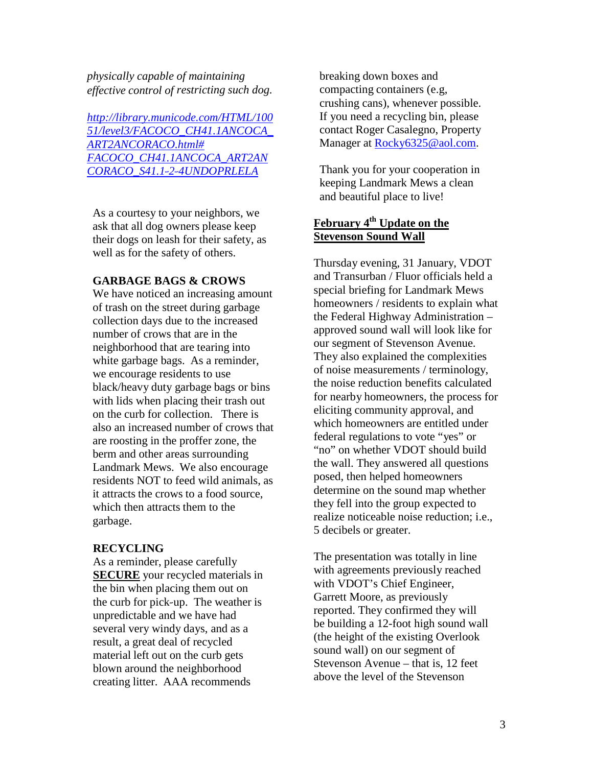*physically capable of maintaining effective control of restricting such dog.*

*[http://library.municode.com/HTML/100](http://library.municode.com/HTML/10051/level3/FACOCO_CH41.1ANCOCA_ART2ANCORACO.html) [51/level3/FACOCO\\_CH41.1ANCOCA\\_](http://library.municode.com/HTML/10051/level3/FACOCO_CH41.1ANCOCA_ART2ANCORACO.html) [ART2ANCORACO.html#](http://library.municode.com/HTML/10051/level3/FACOCO_CH41.1ANCOCA_ART2ANCORACO.html) FACOCO\_CH41.1ANCOCA\_ART2AN CORACO\_S41.1--*‐*2--*‐*4UNDOPRLELA*

As a courtesy to your neighbors, we ask that all dog owners please keep their dogs on leash for their safety, as well as for the safety of others.

#### **GARBAGE BAGS & CROWS**

We have noticed an increasing amount of trash on the street during garbage collection days due to the increased number of crows that are in the neighborhood that are tearing into white garbage bags. As a reminder, we encourage residents to use black/heavy duty garbage bags or bins with lids when placing their trash out on the curb for collection. There is also an increased number of crows that are roosting in the proffer zone, the berm and other areas surrounding Landmark Mews. We also encourage residents NOT to feed wild animals, as it attracts the crows to a food source, which then attracts them to the garbage.

#### **RECYCLING**

As a reminder, please carefully **SECURE** your recycled materials in the bin when placing them out on the curb for pick-up. The weather is unpredictable and we have had several very windy days, and as a result, a great deal of recycled material left out on the curb gets blown around the neighborhood creating litter. AAA recommends

breaking down boxes and compacting containers (e.g, crushing cans), whenever possible. If you need a recycling bin, please contact Roger Casalegno, Property Manager at [Rocky6325@aol.com.](mailto:Rocky6325@aol.com)

Thank you for your cooperation in keeping Landmark Mews a clean and beautiful place to live!

# **February 4<sup>th</sup> Update on the Stevenson Sound Wall**

Thursday evening, 31 January, VDOT and Transurban / Fluor officials held a special briefing for Landmark Mews homeowners / residents to explain what the Federal Highway Administration – approved sound wall will look like for our segment of Stevenson Avenue. They also explained the complexities of noise measurements / terminology, the noise reduction benefits calculated for nearby homeowners, the process for eliciting community approval, and which homeowners are entitled under federal regulations to vote "yes" or "no" on whether VDOT should build the wall. They answered all questions posed, then helped homeowners determine on the sound map whether they fell into the group expected to realize noticeable noise reduction; i.e., 5 decibels or greater.

The presentation was totally in line with agreements previously reached with VDOT's Chief Engineer, Garrett Moore, as previously reported. They confirmed they will be building a 12-foot high sound wall (the height of the existing Overlook sound wall) on our segment of Stevenson Avenue – that is, 12 feet above the level of the Stevenson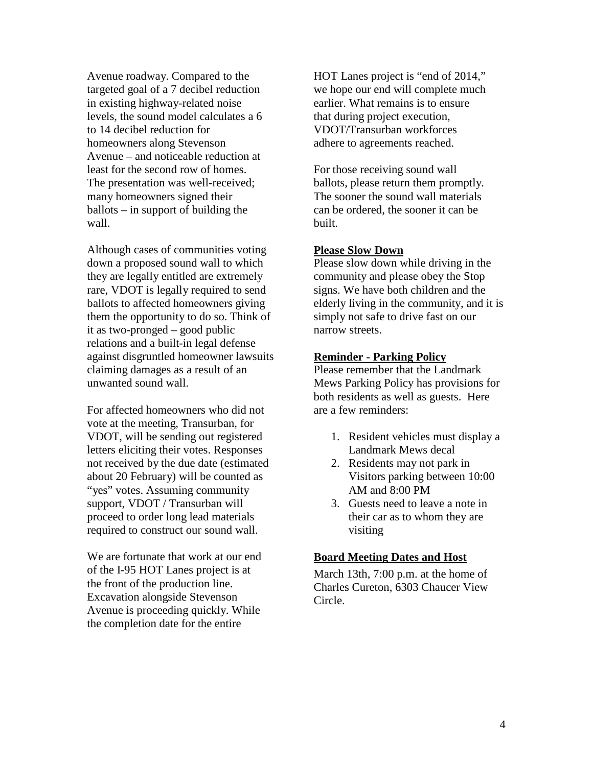Avenue roadway. Compared to the targeted goal of a 7 decibel reduction in existing highway-related noise levels, the sound model calculates a 6 to 14 decibel reduction for homeowners along Stevenson Avenue – and noticeable reduction at least for the second row of homes. The presentation was well-received; many homeowners signed their ballots – in support of building the wall.

Although cases of communities voting down a proposed sound wall to which they are legally entitled are extremely rare, VDOT is legally required to send ballots to affected homeowners giving them the opportunity to do so. Think of it as two-pronged – good public relations and a built-in legal defense against disgruntled homeowner lawsuits claiming damages as a result of an unwanted sound wall.

For affected homeowners who did not vote at the meeting, Transurban, for VDOT, will be sending out registered letters eliciting their votes. Responses not received by the due date (estimated about 20 February) will be counted as "yes" votes. Assuming community support, VDOT / Transurban will proceed to order long lead materials required to construct our sound wall.

We are fortunate that work at our end of the I-95 HOT Lanes project is at the front of the production line. Excavation alongside Stevenson Avenue is proceeding quickly. While the completion date for the entire

HOT Lanes project is "end of 2014," we hope our end will complete much earlier. What remains is to ensure that during project execution, VDOT/Transurban workforces adhere to agreements reached.

For those receiving sound wall ballots, please return them promptly. The sooner the sound wall materials can be ordered, the sooner it can be built.

## **Please Slow Down**

Please slow down while driving in the community and please obey the Stop signs. We have both children and the elderly living in the community, and it is simply not safe to drive fast on our narrow streets.

#### **Reminder - Parking Policy**

Please remember that the Landmark Mews Parking Policy has provisions for both residents as well as guests. Here are a few reminders:

- 1. Resident vehicles must display a Landmark Mews decal
- 2. Residents may not park in Visitors parking between 10:00 AM and 8:00 PM
- 3. Guests need to leave a note in their car as to whom they are visiting

#### **Board Meeting Dates and Host**

March 13th, 7:00 p.m. at the home of Charles Cureton, 6303 Chaucer View Circle.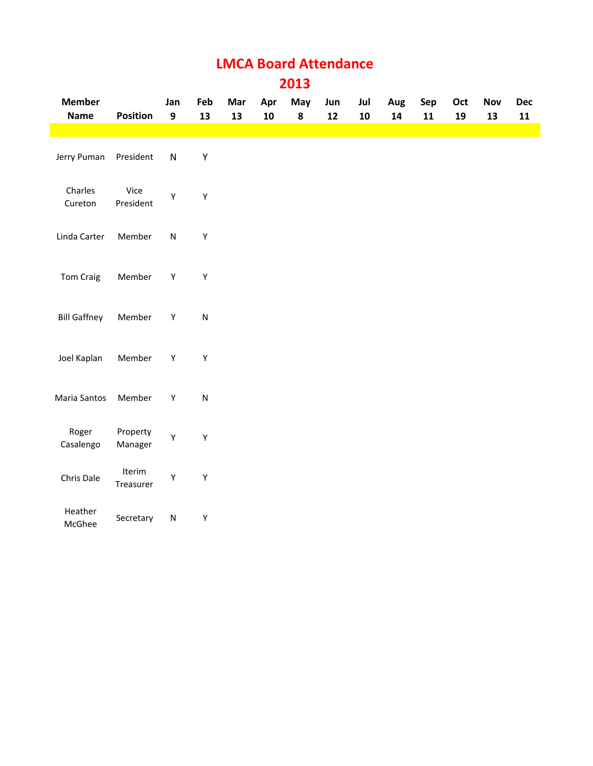# **LMCA Board Attendance 2013**

| <b>Member</b>       |                     | Jan              | Feb       | Mar | Apr | May       | Jun | Jul        | Aug        | Sep        | Oct | Nov | Dec        |
|---------------------|---------------------|------------------|-----------|-----|-----|-----------|-----|------------|------------|------------|-----|-----|------------|
| <b>Name</b>         | Position            | $\boldsymbol{9}$ | 13        | 13  | 10  | ${\bf 8}$ | 12  | ${\bf 10}$ | ${\bf 14}$ | ${\bf 11}$ | 19  | 13  | ${\bf 11}$ |
| Jerry Puman         | President           | ${\sf N}$        | Υ         |     |     |           |     |            |            |            |     |     |            |
| Charles<br>Cureton  | Vice<br>President   | Υ                | Υ         |     |     |           |     |            |            |            |     |     |            |
| Linda Carter        | Member              | ${\sf N}$        | Υ         |     |     |           |     |            |            |            |     |     |            |
| Tom Craig           | Member              | $\mathsf Y$      | Υ         |     |     |           |     |            |            |            |     |     |            |
| <b>Bill Gaffney</b> | Member              | Y                | ${\sf N}$ |     |     |           |     |            |            |            |     |     |            |
| Joel Kaplan         | Member              | Y                | Υ         |     |     |           |     |            |            |            |     |     |            |
| Maria Santos        | Member              | $\mathsf Y$      | ${\sf N}$ |     |     |           |     |            |            |            |     |     |            |
| Roger<br>Casalengo  | Property<br>Manager | Υ                | Υ         |     |     |           |     |            |            |            |     |     |            |
| Chris Dale          | Iterim<br>Treasurer | Υ                | Υ         |     |     |           |     |            |            |            |     |     |            |
| Heather<br>McGhee   | Secretary           | ${\sf N}$        | Υ         |     |     |           |     |            |            |            |     |     |            |